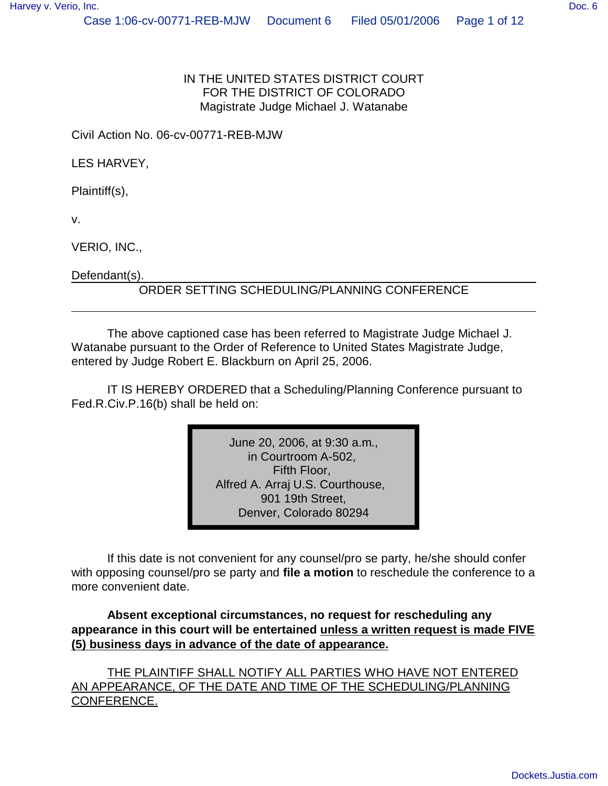#### IN THE UNITED STATES DISTRICT COURT FOR THE DISTRICT OF COLORADO Magistrate Judge Michael J. Watanabe

Civil Action No. 06-cv-00771-REB-MJW

LES HARVEY,

Plaintiff(s),

v.

VERIO, INC.,

Defendant(s).

#### ORDER SETTING SCHEDULING/PLANNING CONFERENCE

The above captioned case has been referred to Magistrate Judge Michael J. Watanabe pursuant to the Order of Reference to United States Magistrate Judge, entered by Judge Robert E. Blackburn on April 25, 2006.

IT IS HEREBY ORDERED that a Scheduling/Planning Conference pursuant to Fed.R.Civ.P.16(b) shall be held on:

> June 20, 2006, at 9:30 a.m., in Courtroom A-502, Fifth Floor, Alfred A. Arraj U.S. Courthouse, 901 19th Street, Denver, Colorado 80294

If this date is not convenient for any counsel/pro se party, he/she should confer with opposing counsel/pro se party and **file a motion** to reschedule the conference to a more convenient date.

**Absent exceptional circumstances, no request for rescheduling any appearance in this court will be entertained unless a written request is made FIVE (5) business days in advance of the date of appearance.**

THE PLAINTIFF SHALL NOTIFY ALL PARTIES WHO HAVE NOT ENTERED AN APPEARANCE, OF THE DATE AND TIME OF THE SCHEDULING/PLANNING CONFERENCE.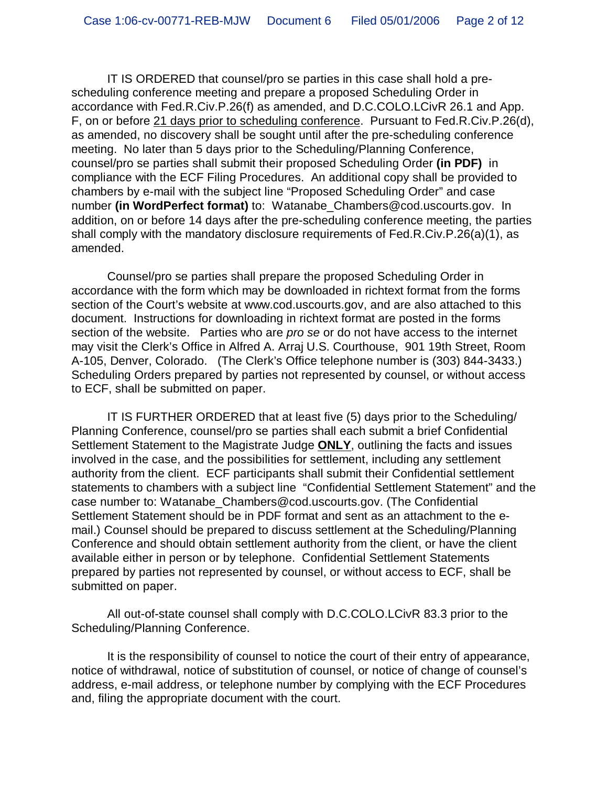IT IS ORDERED that counsel/pro se parties in this case shall hold a prescheduling conference meeting and prepare a proposed Scheduling Order in accordance with Fed.R.Civ.P.26(f) as amended, and D.C.COLO.LCivR 26.1 and App. F, on or before 21 days prior to scheduling conference. Pursuant to Fed.R.Civ.P.26(d), as amended, no discovery shall be sought until after the pre-scheduling conference meeting. No later than 5 days prior to the Scheduling/Planning Conference, counsel/pro se parties shall submit their proposed Scheduling Order **(in PDF)** in compliance with the ECF Filing Procedures. An additional copy shall be provided to chambers by e-mail with the subject line "Proposed Scheduling Order" and case number **(in WordPerfect format)** to: Watanabe\_Chambers@cod.uscourts.gov. In addition, on or before 14 days after the pre-scheduling conference meeting, the parties shall comply with the mandatory disclosure requirements of Fed.R.Civ.P.26(a)(1), as amended.

Counsel/pro se parties shall prepare the proposed Scheduling Order in accordance with the form which may be downloaded in richtext format from the forms section of the Court's website at www.cod.uscourts.gov, and are also attached to this document. Instructions for downloading in richtext format are posted in the forms section of the website. Parties who are *pro se* or do not have access to the internet may visit the Clerk's Office in Alfred A. Arraj U.S. Courthouse, 901 19th Street, Room A-105, Denver, Colorado. (The Clerk's Office telephone number is (303) 844-3433.) Scheduling Orders prepared by parties not represented by counsel, or without access to ECF, shall be submitted on paper.

IT IS FURTHER ORDERED that at least five (5) days prior to the Scheduling/ Planning Conference, counsel/pro se parties shall each submit a brief Confidential Settlement Statement to the Magistrate Judge **ONLY**, outlining the facts and issues involved in the case, and the possibilities for settlement, including any settlement authority from the client. ECF participants shall submit their Confidential settlement statements to chambers with a subject line "Confidential Settlement Statement" and the case number to: Watanabe\_Chambers@cod.uscourts.gov. (The Confidential Settlement Statement should be in PDF format and sent as an attachment to the email.) Counsel should be prepared to discuss settlement at the Scheduling/Planning Conference and should obtain settlement authority from the client, or have the client available either in person or by telephone. Confidential Settlement Statements prepared by parties not represented by counsel, or without access to ECF, shall be submitted on paper.

All out-of-state counsel shall comply with D.C.COLO.LCivR 83.3 prior to the Scheduling/Planning Conference.

It is the responsibility of counsel to notice the court of their entry of appearance, notice of withdrawal, notice of substitution of counsel, or notice of change of counsel's address, e-mail address, or telephone number by complying with the ECF Procedures and, filing the appropriate document with the court.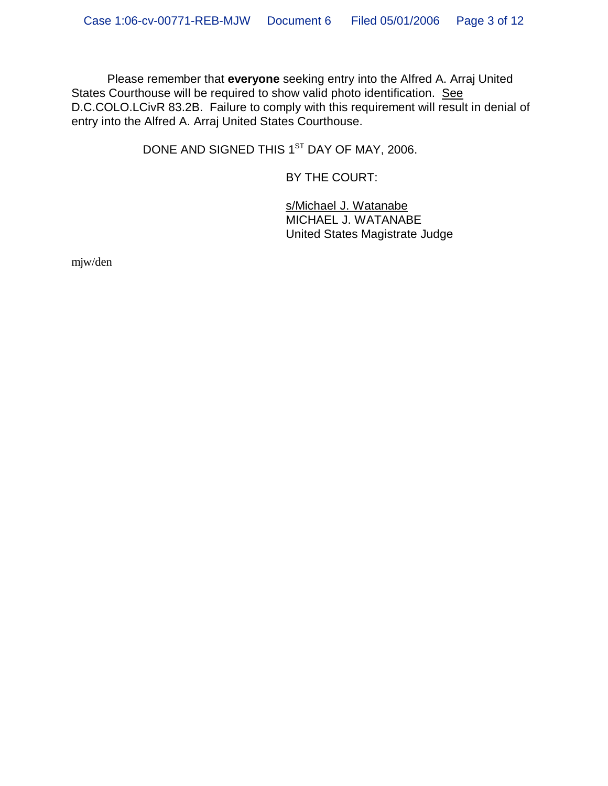Please remember that **everyone** seeking entry into the Alfred A. Arraj United States Courthouse will be required to show valid photo identification. See D.C.COLO.LCivR 83.2B. Failure to comply with this requirement will result in denial of entry into the Alfred A. Arraj United States Courthouse.

DONE AND SIGNED THIS 1<sup>ST</sup> DAY OF MAY, 2006.

BY THE COURT:

s/Michael J. Watanabe MICHAEL J. WATANABE United States Magistrate Judge

mjw/den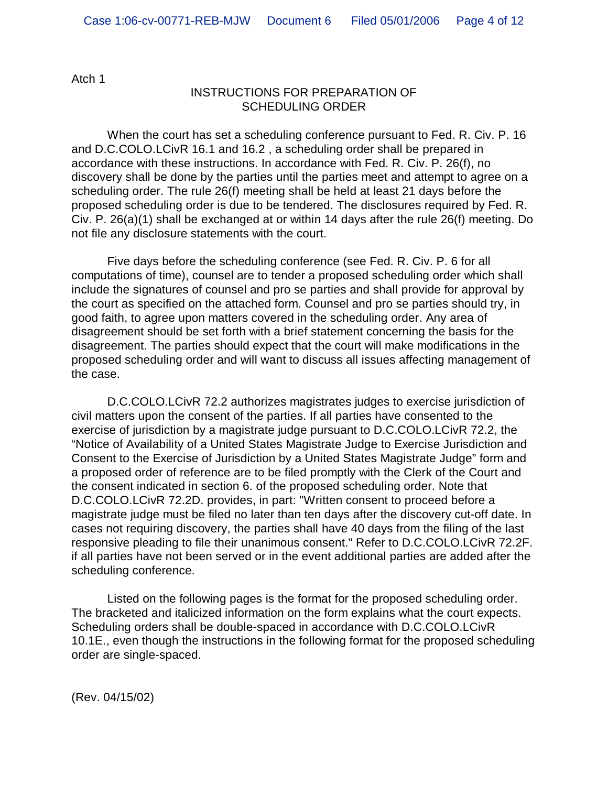Atch 1

#### INSTRUCTIONS FOR PREPARATION OF SCHEDULING ORDER

When the court has set a scheduling conference pursuant to Fed. R. Civ. P. 16 and D.C.COLO.LCivR 16.1 and 16.2 , a scheduling order shall be prepared in accordance with these instructions. In accordance with Fed. R. Civ. P. 26(f), no discovery shall be done by the parties until the parties meet and attempt to agree on a scheduling order. The rule 26(f) meeting shall be held at least 21 days before the proposed scheduling order is due to be tendered. The disclosures required by Fed. R. Civ. P. 26(a)(1) shall be exchanged at or within 14 days after the rule 26(f) meeting. Do not file any disclosure statements with the court.

Five days before the scheduling conference (see Fed. R. Civ. P. 6 for all computations of time), counsel are to tender a proposed scheduling order which shall include the signatures of counsel and pro se parties and shall provide for approval by the court as specified on the attached form. Counsel and pro se parties should try, in good faith, to agree upon matters covered in the scheduling order. Any area of disagreement should be set forth with a brief statement concerning the basis for the disagreement. The parties should expect that the court will make modifications in the proposed scheduling order and will want to discuss all issues affecting management of the case.

D.C.COLO.LCivR 72.2 authorizes magistrates judges to exercise jurisdiction of civil matters upon the consent of the parties. If all parties have consented to the exercise of jurisdiction by a magistrate judge pursuant to D.C.COLO.LCivR 72.2, the "Notice of Availability of a United States Magistrate Judge to Exercise Jurisdiction and Consent to the Exercise of Jurisdiction by a United States Magistrate Judge" form and a proposed order of reference are to be filed promptly with the Clerk of the Court and the consent indicated in section 6. of the proposed scheduling order. Note that D.C.COLO.LCivR 72.2D. provides, in part: "Written consent to proceed before a magistrate judge must be filed no later than ten days after the discovery cut-off date. In cases not requiring discovery, the parties shall have 40 days from the filing of the last responsive pleading to file their unanimous consent." Refer to D.C.COLO.LCivR 72.2F. if all parties have not been served or in the event additional parties are added after the scheduling conference.

Listed on the following pages is the format for the proposed scheduling order. The bracketed and italicized information on the form explains what the court expects. Scheduling orders shall be double-spaced in accordance with D.C.COLO.LCivR 10.1E., even though the instructions in the following format for the proposed scheduling order are single-spaced.

(Rev. 04/15/02)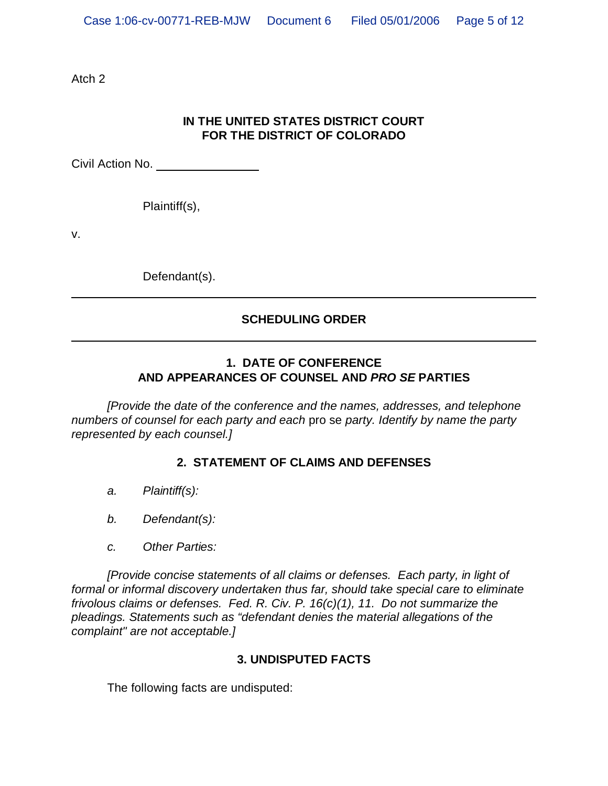Atch 2

### **IN THE UNITED STATES DISTRICT COURT FOR THE DISTRICT OF COLORADO**

Civil Action No.

Plaintiff(s),

v.

Defendant(s).

# **SCHEDULING ORDER**

#### **1. DATE OF CONFERENCE AND APPEARANCES OF COUNSEL AND** *PRO SE* **PARTIES**

*[Provide the date of the conference and the names, addresses, and telephone numbers of counsel for each party and each* pro se *party. Identify by name the party represented by each counsel.]*

# **2. STATEMENT OF CLAIMS AND DEFENSES**

- *a. Plaintiff(s):*
- *b. Defendant(s):*
- *c. Other Parties:*

*[Provide concise statements of all claims or defenses. Each party, in light of formal or informal discovery undertaken thus far, should take special care to eliminate frivolous claims or defenses. Fed. R. Civ. P. 16(c)(1), 11. Do not summarize the pleadings. Statements such as "defendant denies the material allegations of the complaint" are not acceptable.]*

#### **3. UNDISPUTED FACTS**

The following facts are undisputed: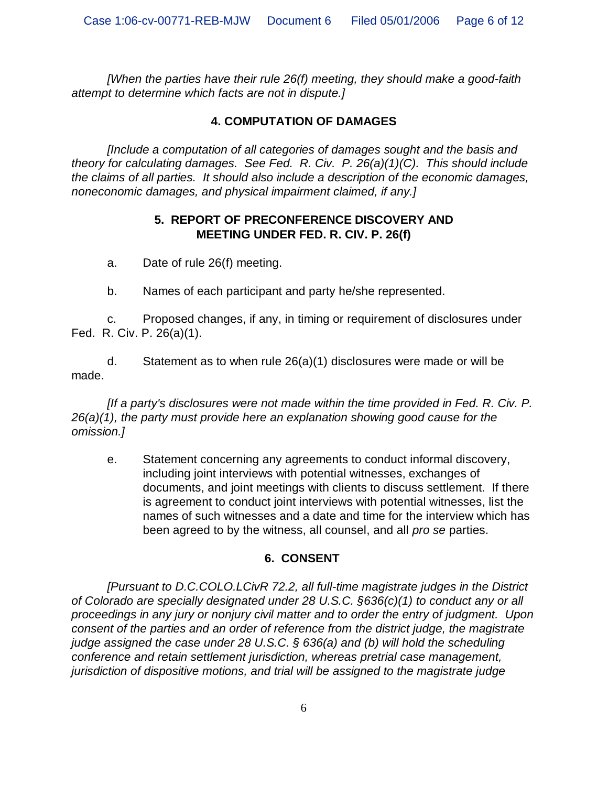*[When the parties have their rule 26(f) meeting, they should make a good-faith attempt to determine which facts are not in dispute.]*

# **4. COMPUTATION OF DAMAGES**

*[Include a computation of all categories of damages sought and the basis and theory for calculating damages. See Fed. R. Civ. P. 26(a)(1)(C). This should include the claims of all parties. It should also include a description of the economic damages, noneconomic damages, and physical impairment claimed, if any.]*

#### **5. REPORT OF PRECONFERENCE DISCOVERY AND MEETING UNDER FED. R. CIV. P. 26(f)**

a. Date of rule 26(f) meeting.

b. Names of each participant and party he/she represented.

c. Proposed changes, if any, in timing or requirement of disclosures under Fed. R. Civ. P. 26(a)(1).

d. Statement as to when rule 26(a)(1) disclosures were made or will be made.

*[If a party's disclosures were not made within the time provided in Fed. R. Civ. P. 26(a)(1), the party must provide here an explanation showing good cause for the omission.]*

e. Statement concerning any agreements to conduct informal discovery, including joint interviews with potential witnesses, exchanges of documents, and joint meetings with clients to discuss settlement. If there is agreement to conduct joint interviews with potential witnesses, list the names of such witnesses and a date and time for the interview which has been agreed to by the witness, all counsel, and all *pro se* parties.

# **6. CONSENT**

*[Pursuant to D.C.COLO.LCivR 72.2, all full-time magistrate judges in the District of Colorado are specially designated under 28 U.S.C. §636(c)(1) to conduct any or all proceedings in any jury or nonjury civil matter and to order the entry of judgment. Upon consent of the parties and an order of reference from the district judge, the magistrate judge assigned the case under 28 U.S.C. § 636(a) and (b) will hold the scheduling conference and retain settlement jurisdiction, whereas pretrial case management, jurisdiction of dispositive motions, and trial will be assigned to the magistrate judge*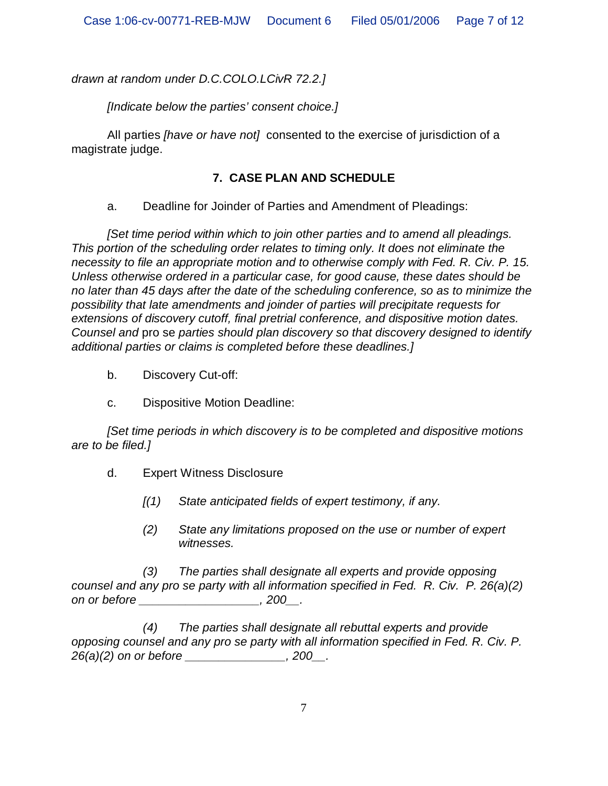*drawn at random under D.C.COLO.LCivR 72.2.]*

*[Indicate below the parties' consent choice.]*

All parties *[have or have not]* consented to the exercise of jurisdiction of a magistrate judge.

### **7. CASE PLAN AND SCHEDULE**

a. Deadline for Joinder of Parties and Amendment of Pleadings:

*[Set time period within which to join other parties and to amend all pleadings. This portion of the scheduling order relates to timing only. It does not eliminate the necessity to file an appropriate motion and to otherwise comply with Fed. R. Civ. P. 15. Unless otherwise ordered in a particular case, for good cause, these dates should be no later than 45 days after the date of the scheduling conference, so as to minimize the possibility that late amendments and joinder of parties will precipitate requests for extensions of discovery cutoff, final pretrial conference, and dispositive motion dates. Counsel and* pro se *parties should plan discovery so that discovery designed to identify additional parties or claims is completed before these deadlines.]*

- b. Discovery Cut-off:
- c. Dispositive Motion Deadline:

*[Set time periods in which discovery is to be completed and dispositive motions are to be filed.]*

- d. Expert Witness Disclosure
	- *[(1) State anticipated fields of expert testimony, if any.*
	- *(2) State any limitations proposed on the use or number of expert witnesses.*

*(3) The parties shall designate all experts and provide opposing counsel and any pro se party with all information specified in Fed. R. Civ. P. 26(a)(2) on or before \_\_\_\_\_\_\_\_\_\_\_\_\_\_\_\_\_\_, 200\_\_.*

*(4) The parties shall designate all rebuttal experts and provide opposing counsel and any pro se party with all information specified in Fed. R. Civ. P. 26(a)(2) on or before \_\_\_\_\_\_\_\_\_\_\_\_\_\_\_, 200\_\_.*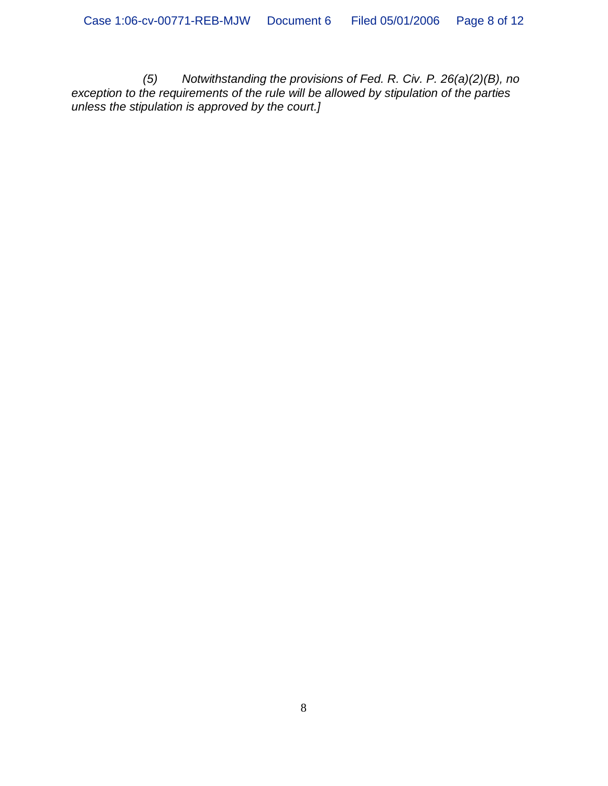*(5) Notwithstanding the provisions of Fed. R. Civ. P. 26(a)(2)(B), no exception to the requirements of the rule will be allowed by stipulation of the parties unless the stipulation is approved by the court.]*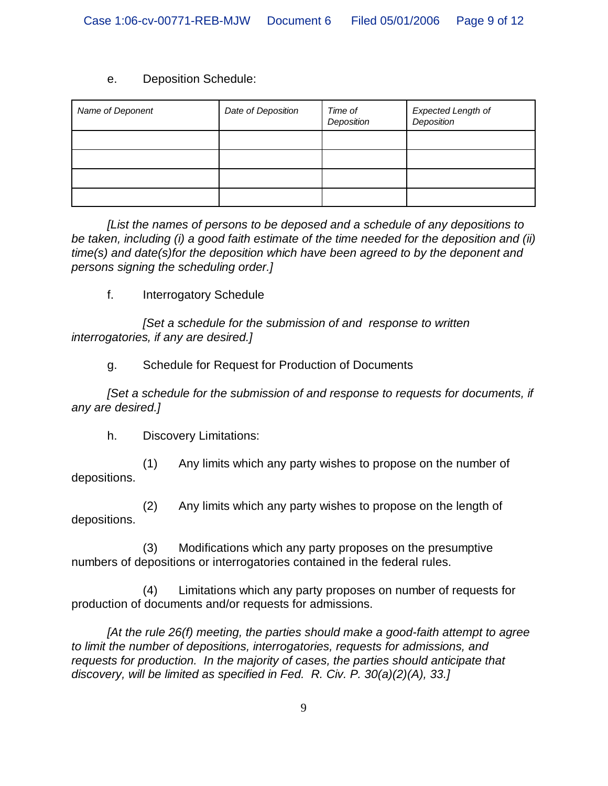#### e. Deposition Schedule:

| Name of Deponent | Date of Deposition | Time of<br>Deposition | Expected Length of<br>Deposition |
|------------------|--------------------|-----------------------|----------------------------------|
|                  |                    |                       |                                  |
|                  |                    |                       |                                  |
|                  |                    |                       |                                  |
|                  |                    |                       |                                  |

*[List the names of persons to be deposed and a schedule of any depositions to be taken, including (i) a good faith estimate of the time needed for the deposition and (ii) time(s) and date(s)for the deposition which have been agreed to by the deponent and persons signing the scheduling order.]*

f. Interrogatory Schedule

*[Set a schedule for the submission of and response to written interrogatories, if any are desired.]*

g. Schedule for Request for Production of Documents

*[Set a schedule for the submission of and response to requests for documents, if any are desired.]*

h. Discovery Limitations:

(1) Any limits which any party wishes to propose on the number of depositions.

(2) Any limits which any party wishes to propose on the length of depositions.

(3) Modifications which any party proposes on the presumptive numbers of depositions or interrogatories contained in the federal rules.

(4) Limitations which any party proposes on number of requests for production of documents and/or requests for admissions.

*[At the rule 26(f) meeting, the parties should make a good-faith attempt to agree to limit the number of depositions, interrogatories, requests for admissions, and requests for production. In the majority of cases, the parties should anticipate that discovery, will be limited as specified in Fed. R. Civ. P. 30(a)(2)(A), 33.]*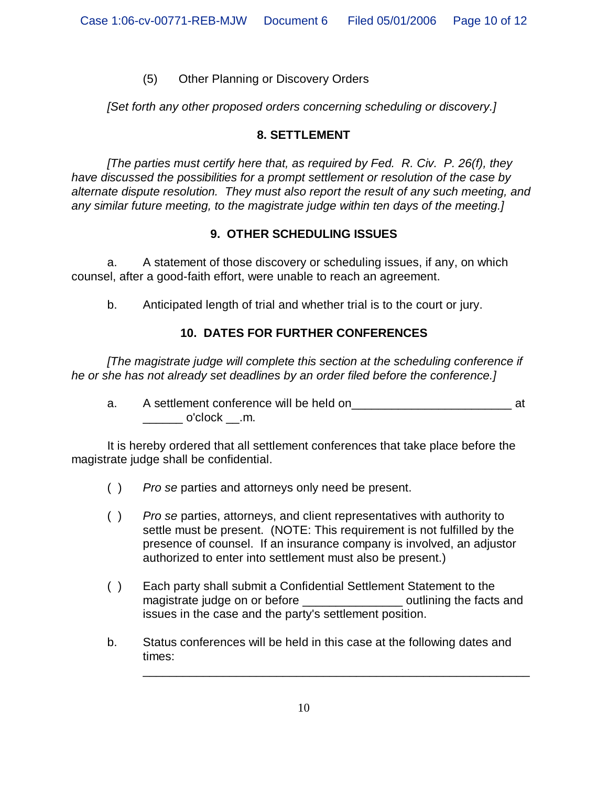### (5) Other Planning or Discovery Orders

*[Set forth any other proposed orders concerning scheduling or discovery.]*

### **8. SETTLEMENT**

*[The parties must certify here that, as required by Fed. R. Civ. P. 26(f), they have discussed the possibilities for a prompt settlement or resolution of the case by alternate dispute resolution. They must also report the result of any such meeting, and any similar future meeting, to the magistrate judge within ten days of the meeting.]*

### **9. OTHER SCHEDULING ISSUES**

a. A statement of those discovery or scheduling issues, if any, on which counsel, after a good-faith effort, were unable to reach an agreement.

b. Anticipated length of trial and whether trial is to the court or jury.

# **10. DATES FOR FURTHER CONFERENCES**

*[The magistrate judge will complete this section at the scheduling conference if he or she has not already set deadlines by an order filed before the conference.]*

a. A settlement conference will be held on\_\_\_\_\_\_\_\_\_\_\_\_\_\_\_\_\_\_\_\_\_\_\_\_ at \_\_\_\_\_\_ o'clock \_\_.m.

It is hereby ordered that all settlement conferences that take place before the magistrate judge shall be confidential.

- ( ) *Pro se* parties and attorneys only need be present.
- ( ) *Pro se* parties, attorneys, and client representatives with authority to settle must be present. (NOTE: This requirement is not fulfilled by the presence of counsel. If an insurance company is involved, an adjustor authorized to enter into settlement must also be present.)
- ( ) Each party shall submit a Confidential Settlement Statement to the magistrate judge on or before \_\_\_\_\_\_\_\_\_\_\_\_\_\_\_\_\_\_\_ outlining the facts and issues in the case and the party's settlement position.
- b. Status conferences will be held in this case at the following dates and times:

\_\_\_\_\_\_\_\_\_\_\_\_\_\_\_\_\_\_\_\_\_\_\_\_\_\_\_\_\_\_\_\_\_\_\_\_\_\_\_\_\_\_\_\_\_\_\_\_\_\_\_\_\_\_\_\_\_\_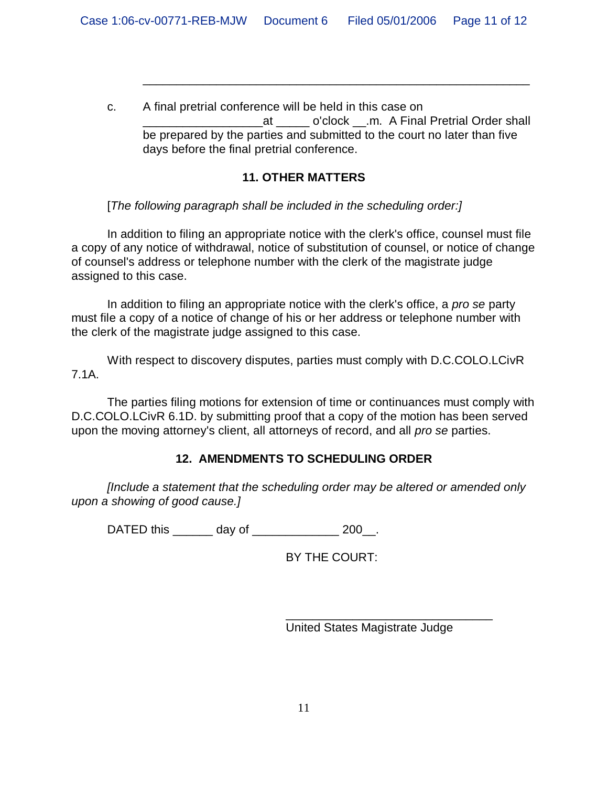c. A final pretrial conference will be held in this case on at o'clock .m. A Final Pretrial Order shall be prepared by the parties and submitted to the court no later than five days before the final pretrial conference.

\_\_\_\_\_\_\_\_\_\_\_\_\_\_\_\_\_\_\_\_\_\_\_\_\_\_\_\_\_\_\_\_\_\_\_\_\_\_\_\_\_\_\_\_\_\_\_\_\_\_\_\_\_\_\_\_\_\_

#### **11. OTHER MATTERS**

[*The following paragraph shall be included in the scheduling order:]*

In addition to filing an appropriate notice with the clerk's office, counsel must file a copy of any notice of withdrawal, notice of substitution of counsel, or notice of change of counsel's address or telephone number with the clerk of the magistrate judge assigned to this case.

In addition to filing an appropriate notice with the clerk's office, a *pro se* party must file a copy of a notice of change of his or her address or telephone number with the clerk of the magistrate judge assigned to this case.

With respect to discovery disputes, parties must comply with D.C.COLO.LCivR 7.1A.

The parties filing motions for extension of time or continuances must comply with D.C.COLO.LCivR 6.1D. by submitting proof that a copy of the motion has been served upon the moving attorney's client, all attorneys of record, and all *pro se* parties.

# **12. AMENDMENTS TO SCHEDULING ORDER**

*[Include a statement that the scheduling order may be altered or amended only upon a showing of good cause.]*

DATED this day of  $200$ .

BY THE COURT:

United States Magistrate Judge

\_\_\_\_\_\_\_\_\_\_\_\_\_\_\_\_\_\_\_\_\_\_\_\_\_\_\_\_\_\_\_